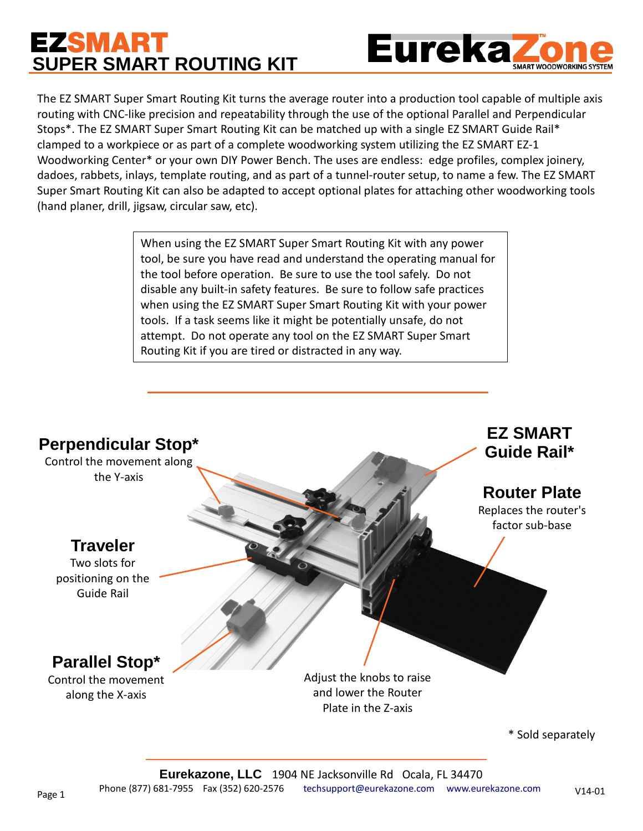# **EZSMART SUPER SMART ROUTING KIT**



The EZ SMART Super Smart Routing Kit turns the average router into a production tool capable of multiple axis routing with CNC-like precision and repeatability through the use of the optional Parallel and Perpendicular Stops\*. The EZ SMART Super Smart Routing Kit can be matched up with a single EZ SMART Guide Rail\* clamped to a workpiece or as part of a complete woodworking system utilizing the EZ SMART EZ-1 Woodworking Center\* or your own DIY Power Bench. The uses are endless: edge profiles, complex joinery, dadoes, rabbets, inlays, template routing, and as part of a tunnel-router setup, to name a few. The EZ SMART Super Smart Routing Kit can also be adapted to accept optional plates for attaching other woodworking tools (hand planer, drill, jigsaw, circular saw, etc).

> When using the EZ SMART Super Smart Routing Kit with any power tool, be sure you have read and understand the operating manual for the tool before operation. Be sure to use the tool safely. Do not disable any built-in safety features. Be sure to follow safe practices when using the EZ SMART Super Smart Routing Kit with your power tools. If a task seems like it might be potentially unsafe, do not attempt. Do not operate any tool on the EZ SMART Super Smart Routing Kit if you are tired or distracted in any way.

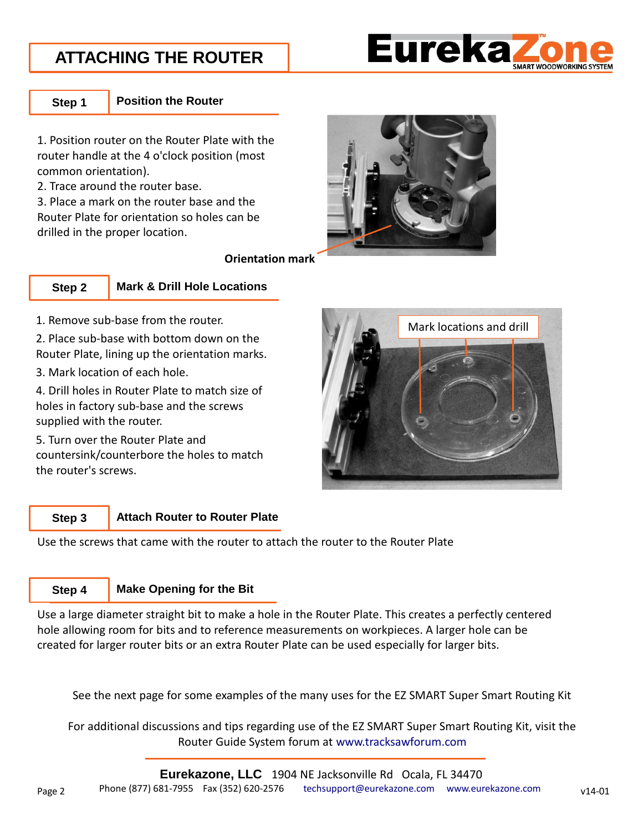### **ATTACHING THE ROUTER**



**Step 1**

**Position the Router**

1. Position router on the Router Plate with the router handle at the 4 o'clock position (most common orientation).

2. Trace around the router base.

3. Place a mark on the router base and the Router Plate for orientation so holes can be drilled in the proper location.



**Orientation mark**



### **Mark & Drill Hole Locations**

1. Remove sub-base from the router.

2. Place sub-base with bottom down on the Router Plate, lining up the orientation marks.

3. Mark location of each hole.

4. Drill holes in Router Plate to match size of holes in factory sub-base and the screws supplied with the router.

5. Turn over the Router Plate and countersink/counterbore the holes to match the router's screws.



#### **Attach Router to Router Plate Step 3**

Use the screws that came with the router to attach the router to the Router Plate

#### **Make Opening for the Bit Step 4**

Use a large diameter straight bit to make a hole in the Router Plate. This creates a perfectly centered hole allowing room for bits and to reference measurements on workpieces. A larger hole can be created for larger router bits or an extra Router Plate can be used especially for larger bits.

See the next page for some examples of the many uses for the EZ SMART Super Smart Routing Kit

For additional discussions and tips regarding use of the EZ SMART Super Smart Routing Kit, visit the Router Guide System forum at [www.tracksawforum.com](http://www.tracksawforum.com/)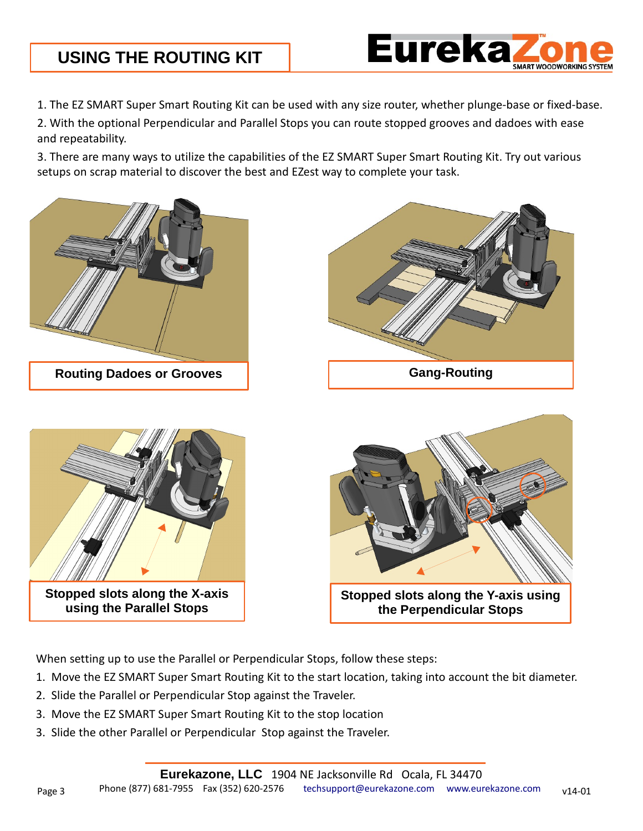### **USING THE ROUTING KIT**



1. The EZ SMART Super Smart Routing Kit can be used with any size router, whether plunge-base or fixed-base.

2. With the optional Perpendicular and Parallel Stops you can route stopped grooves and dadoes with ease and repeatability.

3. There are many ways to utilize the capabilities of the EZ SMART Super Smart Routing Kit. Try out various setups on scrap material to discover the best and EZest way to complete your task.







**Stopped slots along the X-axis using the Parallel Stops**



**the Perpendicular Stops**

When setting up to use the Parallel or Perpendicular Stops, follow these steps:

- 1. Move the EZ SMART Super Smart Routing Kit to the start location, taking into account the bit diameter.
- 2. Slide the Parallel or Perpendicular Stop against the Traveler.
- 3. Move the EZ SMART Super Smart Routing Kit to the stop location
- 3. Slide the other Parallel or Perpendicular Stop against the Traveler.